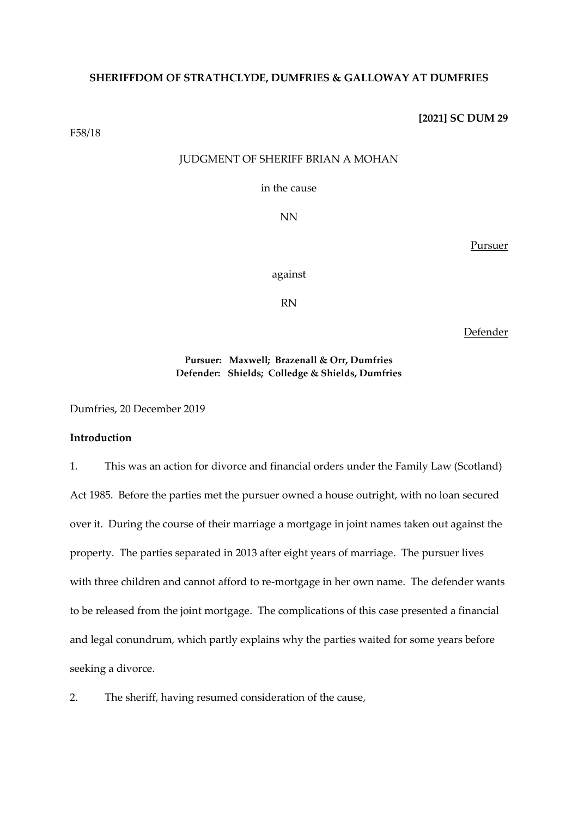### **SHERIFFDOM OF STRATHCLYDE, DUMFRIES & GALLOWAY AT DUMFRIES**

**[2021] SC DUM 29**

F58/18

# JUDGMENT OF SHERIFF BRIAN A MOHAN

in the cause

NN

Pursuer

against

RN

Defender

## **Pursuer: Maxwell; Brazenall & Orr, Dumfries Defender: Shields; Colledge & Shields, Dumfries**

Dumfries, 20 December 2019

## **Introduction**

1. This was an action for divorce and financial orders under the Family Law (Scotland) Act 1985. Before the parties met the pursuer owned a house outright, with no loan secured over it. During the course of their marriage a mortgage in joint names taken out against the property. The parties separated in 2013 after eight years of marriage. The pursuer lives with three children and cannot afford to re-mortgage in her own name. The defender wants to be released from the joint mortgage. The complications of this case presented a financial and legal conundrum, which partly explains why the parties waited for some years before seeking a divorce.

2. The sheriff, having resumed consideration of the cause,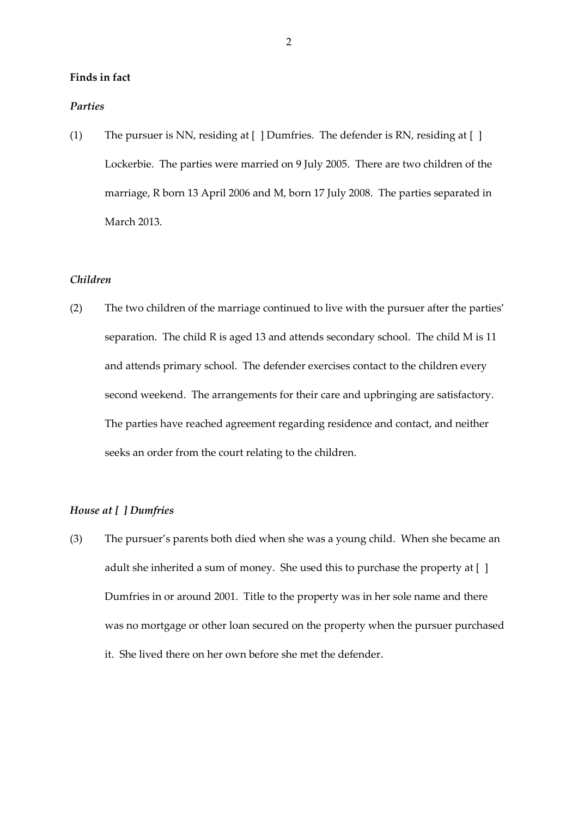### **Finds in fact**

#### *Parties*

(1) The pursuer is NN, residing at [ ] Dumfries. The defender is RN, residing at [ ] Lockerbie. The parties were married on 9 July 2005. There are two children of the marriage, R born 13 April 2006 and M, born 17 July 2008. The parties separated in March 2013.

#### *Children*

(2) The two children of the marriage continued to live with the pursuer after the parties' separation. The child R is aged 13 and attends secondary school. The child M is 11 and attends primary school. The defender exercises contact to the children every second weekend. The arrangements for their care and upbringing are satisfactory. The parties have reached agreement regarding residence and contact, and neither seeks an order from the court relating to the children.

### *House at [ ] Dumfries*

(3) The pursuer's parents both died when she was a young child. When she became an adult she inherited a sum of money. She used this to purchase the property at [ ] Dumfries in or around 2001. Title to the property was in her sole name and there was no mortgage or other loan secured on the property when the pursuer purchased it. She lived there on her own before she met the defender.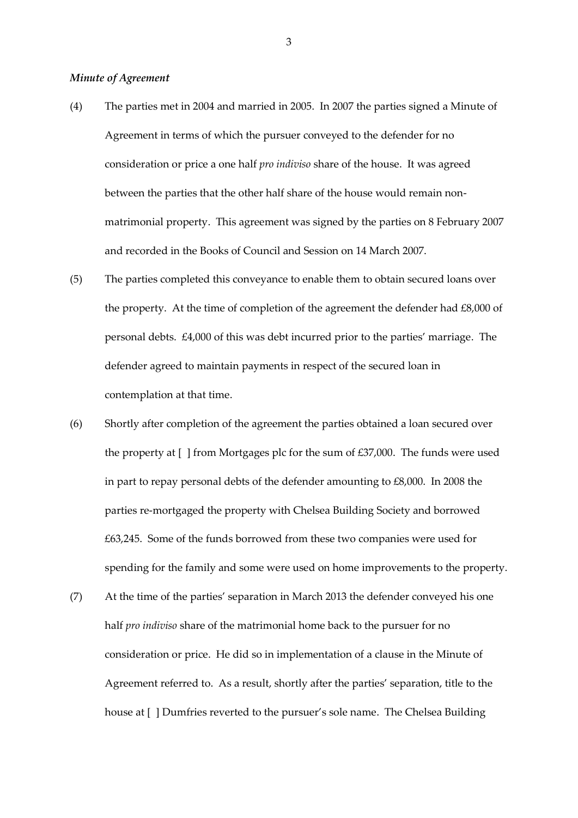### *Minute of Agreement*

- (4) The parties met in 2004 and married in 2005. In 2007 the parties signed a Minute of Agreement in terms of which the pursuer conveyed to the defender for no consideration or price a one half *pro indiviso* share of the house. It was agreed between the parties that the other half share of the house would remain nonmatrimonial property. This agreement was signed by the parties on 8 February 2007 and recorded in the Books of Council and Session on 14 March 2007.
- (5) The parties completed this conveyance to enable them to obtain secured loans over the property. At the time of completion of the agreement the defender had £8,000 of personal debts. £4,000 of this was debt incurred prior to the parties' marriage. The defender agreed to maintain payments in respect of the secured loan in contemplation at that time.
- (6) Shortly after completion of the agreement the parties obtained a loan secured over the property at [ ] from Mortgages plc for the sum of £37,000. The funds were used in part to repay personal debts of the defender amounting to £8,000. In 2008 the parties re-mortgaged the property with Chelsea Building Society and borrowed £63,245. Some of the funds borrowed from these two companies were used for spending for the family and some were used on home improvements to the property.
- (7) At the time of the parties' separation in March 2013 the defender conveyed his one half *pro indiviso* share of the matrimonial home back to the pursuer for no consideration or price. He did so in implementation of a clause in the Minute of Agreement referred to. As a result, shortly after the parties' separation, title to the house at [ ] Dumfries reverted to the pursuer's sole name. The Chelsea Building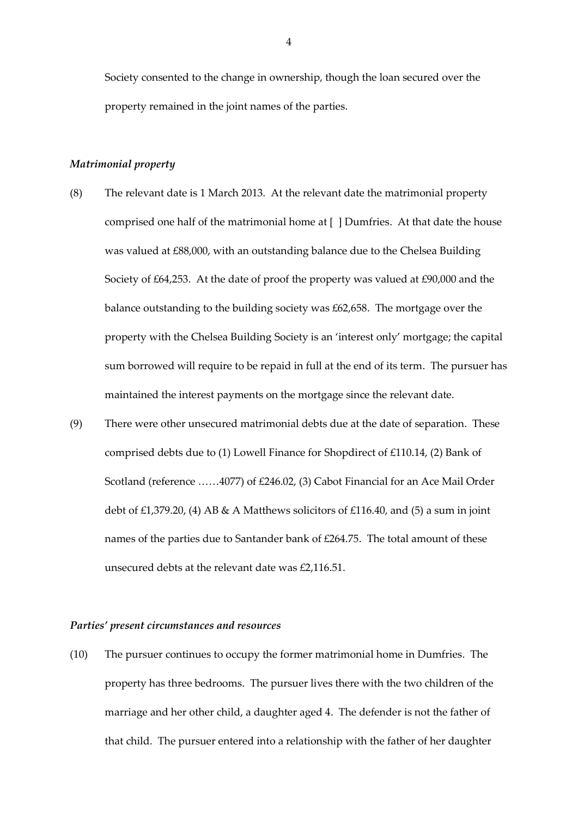Society consented to the change in ownership, though the loan secured over the property remained in the joint names of the parties.

#### *Matrimonial property*

- (8) The relevant date is 1 March 2013. At the relevant date the matrimonial property comprised one half of the matrimonial home at [ ] Dumfries. At that date the house was valued at £88,000, with an outstanding balance due to the Chelsea Building Society of £64,253. At the date of proof the property was valued at £90,000 and the balance outstanding to the building society was £62,658. The mortgage over the property with the Chelsea Building Society is an 'interest only' mortgage; the capital sum borrowed will require to be repaid in full at the end of its term. The pursuer has maintained the interest payments on the mortgage since the relevant date.
- (9) There were other unsecured matrimonial debts due at the date of separation. These comprised debts due to (1) Lowell Finance for Shopdirect of £110.14, (2) Bank of Scotland (reference ……4077) of £246.02, (3) Cabot Financial for an Ace Mail Order debt of £1,379.20, (4) AB & A Matthews solicitors of £116.40, and (5) a sum in joint names of the parties due to Santander bank of £264.75. The total amount of these unsecured debts at the relevant date was £2,116.51.

### *Parties' present circumstances and resources*

(10) The pursuer continues to occupy the former matrimonial home in Dumfries. The property has three bedrooms. The pursuer lives there with the two children of the marriage and her other child, a daughter aged 4. The defender is not the father of that child. The pursuer entered into a relationship with the father of her daughter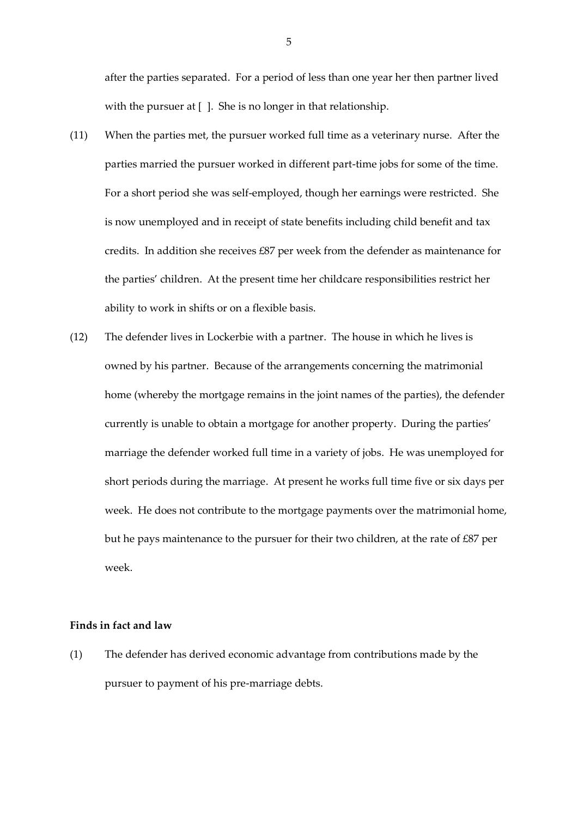after the parties separated. For a period of less than one year her then partner lived with the pursuer at [ ]. She is no longer in that relationship.

- (11) When the parties met, the pursuer worked full time as a veterinary nurse. After the parties married the pursuer worked in different part-time jobs for some of the time. For a short period she was self-employed, though her earnings were restricted. She is now unemployed and in receipt of state benefits including child benefit and tax credits. In addition she receives £87 per week from the defender as maintenance for the parties' children. At the present time her childcare responsibilities restrict her ability to work in shifts or on a flexible basis.
- (12) The defender lives in Lockerbie with a partner. The house in which he lives is owned by his partner. Because of the arrangements concerning the matrimonial home (whereby the mortgage remains in the joint names of the parties), the defender currently is unable to obtain a mortgage for another property. During the parties' marriage the defender worked full time in a variety of jobs. He was unemployed for short periods during the marriage. At present he works full time five or six days per week. He does not contribute to the mortgage payments over the matrimonial home, but he pays maintenance to the pursuer for their two children, at the rate of £87 per week.

### **Finds in fact and law**

(1) The defender has derived economic advantage from contributions made by the pursuer to payment of his pre-marriage debts.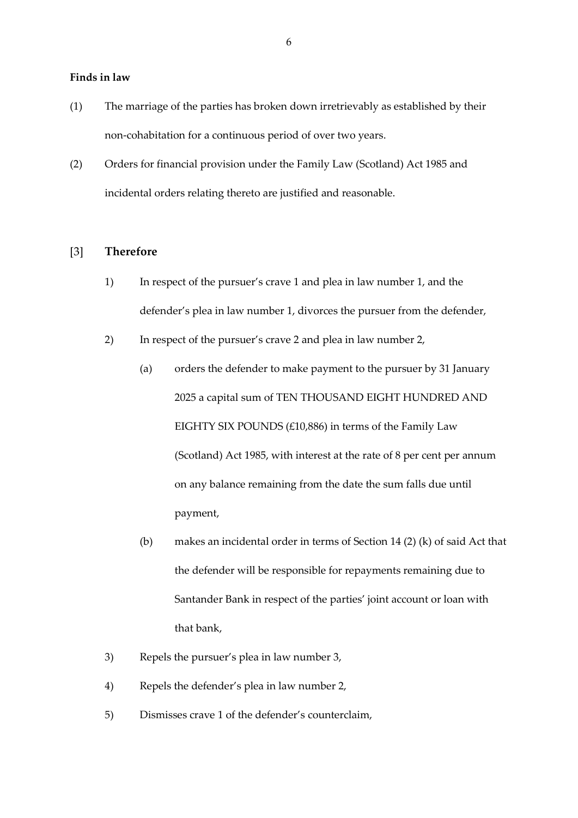#### **Finds in law**

- (1) The marriage of the parties has broken down irretrievably as established by their non-cohabitation for a continuous period of over two years.
- (2) Orders for financial provision under the Family Law (Scotland) Act 1985 and incidental orders relating thereto are justified and reasonable.

# [3] **Therefore**

- 1) In respect of the pursuer's crave 1 and plea in law number 1, and the defender's plea in law number 1, divorces the pursuer from the defender,
- 2) In respect of the pursuer's crave 2 and plea in law number 2,
	- (a) orders the defender to make payment to the pursuer by 31 January 2025 a capital sum of TEN THOUSAND EIGHT HUNDRED AND EIGHTY SIX POUNDS  $(£10,886)$  in terms of the Family Law (Scotland) Act 1985, with interest at the rate of 8 per cent per annum on any balance remaining from the date the sum falls due until payment,
	- (b) makes an incidental order in terms of Section 14 (2) (k) of said Act that the defender will be responsible for repayments remaining due to Santander Bank in respect of the parties' joint account or loan with that bank,
- 3) Repels the pursuer's plea in law number 3,
- 4) Repels the defender's plea in law number 2,
- 5) Dismisses crave 1 of the defender's counterclaim,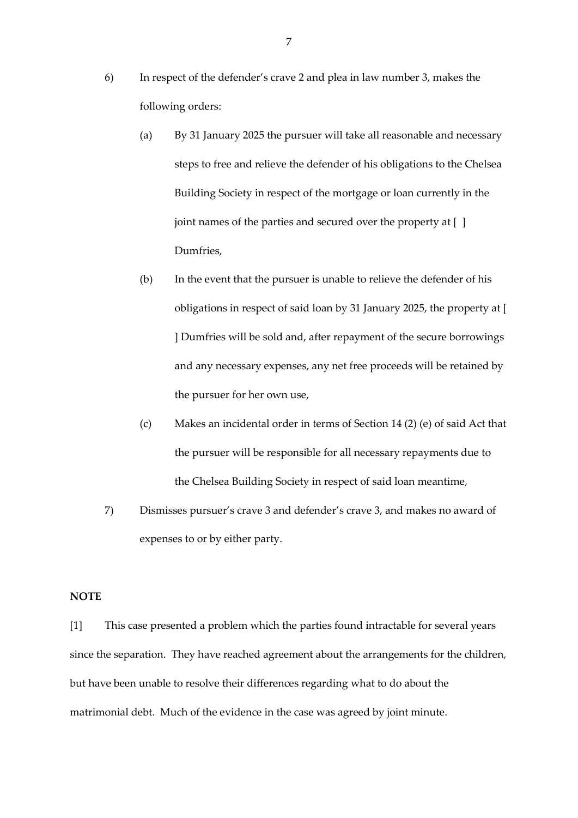- 6) In respect of the defender's crave 2 and plea in law number 3, makes the following orders:
	- (a) By 31 January 2025 the pursuer will take all reasonable and necessary steps to free and relieve the defender of his obligations to the Chelsea Building Society in respect of the mortgage or loan currently in the joint names of the parties and secured over the property at [ ] Dumfries,
	- (b) In the event that the pursuer is unable to relieve the defender of his obligations in respect of said loan by 31 January 2025, the property at [ ] Dumfries will be sold and, after repayment of the secure borrowings and any necessary expenses, any net free proceeds will be retained by the pursuer for her own use,
	- (c) Makes an incidental order in terms of Section 14 (2) (e) of said Act that the pursuer will be responsible for all necessary repayments due to the Chelsea Building Society in respect of said loan meantime,
- 7) Dismisses pursuer's crave 3 and defender's crave 3, and makes no award of expenses to or by either party.

#### **NOTE**

[1] This case presented a problem which the parties found intractable for several years since the separation. They have reached agreement about the arrangements for the children, but have been unable to resolve their differences regarding what to do about the matrimonial debt. Much of the evidence in the case was agreed by joint minute.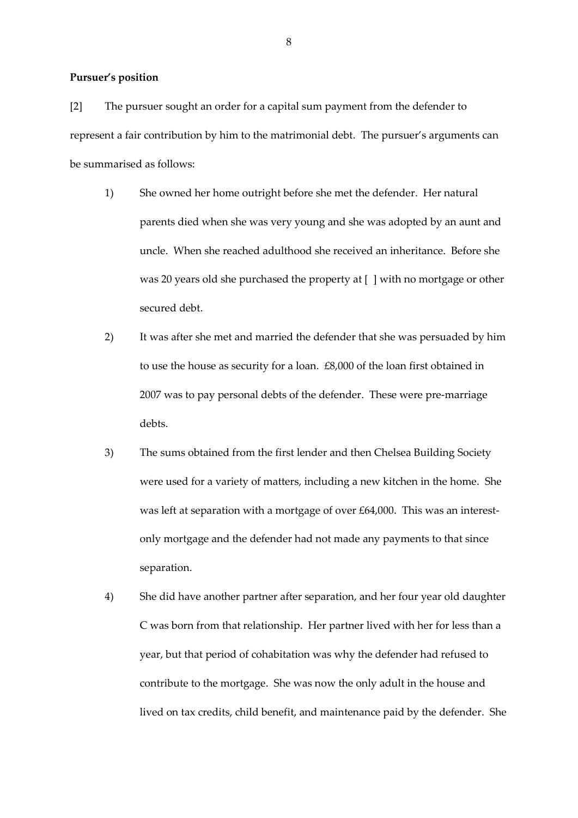# **Pursuer's position**

[2] The pursuer sought an order for a capital sum payment from the defender to represent a fair contribution by him to the matrimonial debt. The pursuer's arguments can be summarised as follows:

- 1) She owned her home outright before she met the defender. Her natural parents died when she was very young and she was adopted by an aunt and uncle. When she reached adulthood she received an inheritance. Before she was 20 years old she purchased the property at [ ] with no mortgage or other secured debt.
- 2) It was after she met and married the defender that she was persuaded by him to use the house as security for a loan. £8,000 of the loan first obtained in 2007 was to pay personal debts of the defender. These were pre-marriage debts.
- 3) The sums obtained from the first lender and then Chelsea Building Society were used for a variety of matters, including a new kitchen in the home. She was left at separation with a mortgage of over £64,000. This was an interestonly mortgage and the defender had not made any payments to that since separation.
- 4) She did have another partner after separation, and her four year old daughter C was born from that relationship. Her partner lived with her for less than a year, but that period of cohabitation was why the defender had refused to contribute to the mortgage. She was now the only adult in the house and lived on tax credits, child benefit, and maintenance paid by the defender. She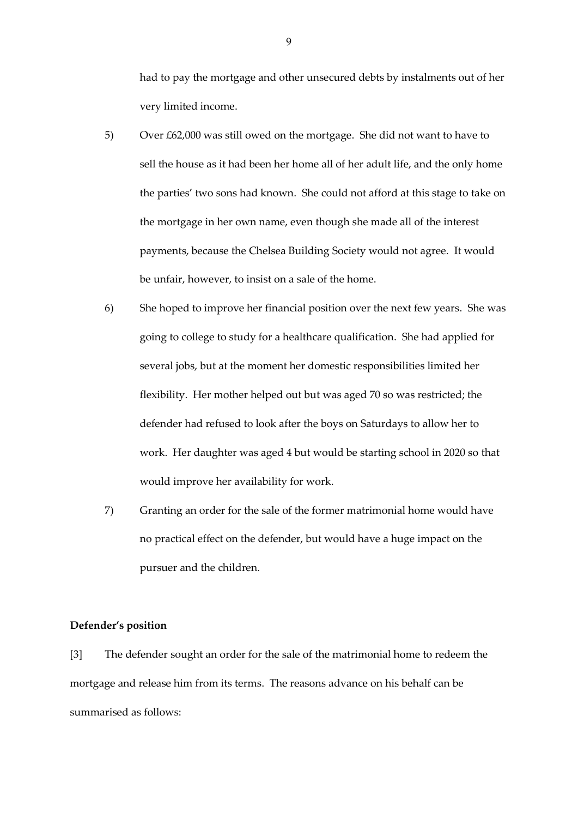had to pay the mortgage and other unsecured debts by instalments out of her very limited income.

- 5) Over £62,000 was still owed on the mortgage. She did not want to have to sell the house as it had been her home all of her adult life, and the only home the parties' two sons had known. She could not afford at this stage to take on the mortgage in her own name, even though she made all of the interest payments, because the Chelsea Building Society would not agree. It would be unfair, however, to insist on a sale of the home.
- 6) She hoped to improve her financial position over the next few years. She was going to college to study for a healthcare qualification. She had applied for several jobs, but at the moment her domestic responsibilities limited her flexibility. Her mother helped out but was aged 70 so was restricted; the defender had refused to look after the boys on Saturdays to allow her to work. Her daughter was aged 4 but would be starting school in 2020 so that would improve her availability for work.
- 7) Granting an order for the sale of the former matrimonial home would have no practical effect on the defender, but would have a huge impact on the pursuer and the children.

### **Defender's position**

[3] The defender sought an order for the sale of the matrimonial home to redeem the mortgage and release him from its terms. The reasons advance on his behalf can be summarised as follows: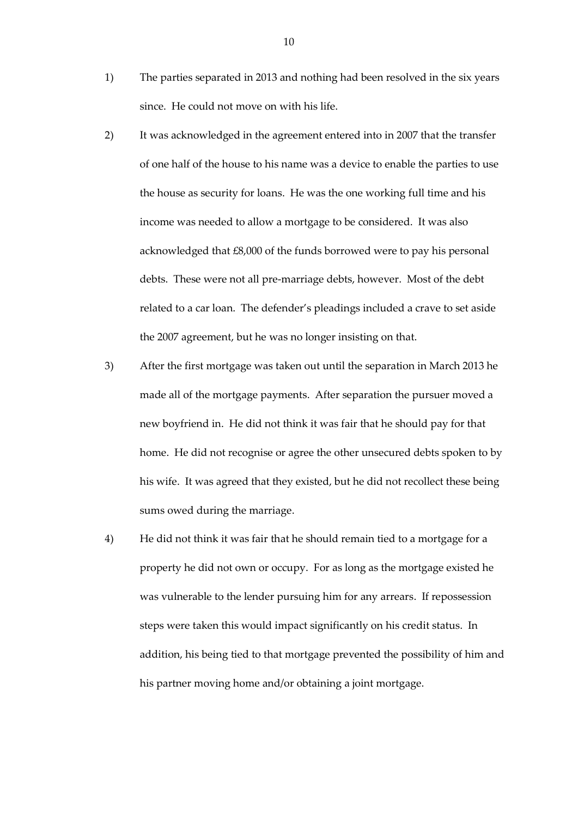- 1) The parties separated in 2013 and nothing had been resolved in the six years since. He could not move on with his life.
- 2) It was acknowledged in the agreement entered into in 2007 that the transfer of one half of the house to his name was a device to enable the parties to use the house as security for loans. He was the one working full time and his income was needed to allow a mortgage to be considered. It was also acknowledged that £8,000 of the funds borrowed were to pay his personal debts. These were not all pre-marriage debts, however. Most of the debt related to a car loan. The defender's pleadings included a crave to set aside the 2007 agreement, but he was no longer insisting on that.
- 3) After the first mortgage was taken out until the separation in March 2013 he made all of the mortgage payments. After separation the pursuer moved a new boyfriend in. He did not think it was fair that he should pay for that home. He did not recognise or agree the other unsecured debts spoken to by his wife. It was agreed that they existed, but he did not recollect these being sums owed during the marriage.
- 4) He did not think it was fair that he should remain tied to a mortgage for a property he did not own or occupy. For as long as the mortgage existed he was vulnerable to the lender pursuing him for any arrears. If repossession steps were taken this would impact significantly on his credit status. In addition, his being tied to that mortgage prevented the possibility of him and his partner moving home and/or obtaining a joint mortgage.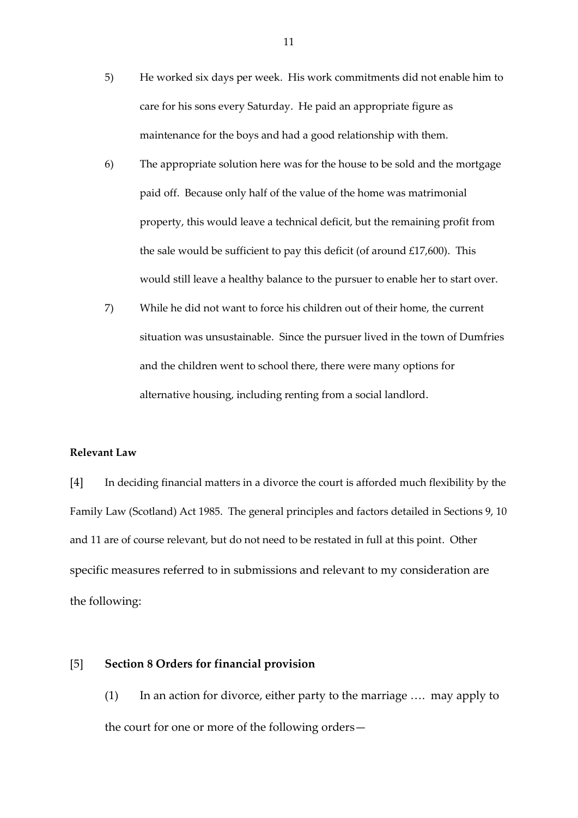- 5) He worked six days per week. His work commitments did not enable him to care for his sons every Saturday. He paid an appropriate figure as maintenance for the boys and had a good relationship with them.
- 6) The appropriate solution here was for the house to be sold and the mortgage paid off. Because only half of the value of the home was matrimonial property, this would leave a technical deficit, but the remaining profit from the sale would be sufficient to pay this deficit (of around  $£17,600$ ). This would still leave a healthy balance to the pursuer to enable her to start over.
- 7) While he did not want to force his children out of their home, the current situation was unsustainable. Since the pursuer lived in the town of Dumfries and the children went to school there, there were many options for alternative housing, including renting from a social landlord.

### **Relevant Law**

[4] In deciding financial matters in a divorce the court is afforded much flexibility by the Family Law (Scotland) Act 1985. The general principles and factors detailed in Sections 9, 10 and 11 are of course relevant, but do not need to be restated in full at this point. Other specific measures referred to in submissions and relevant to my consideration are the following:

# [5] **Section 8 Orders for financial provision**

(1) In an action for divorce, either party to the marriage …. may apply to the court for one or more of the following orders—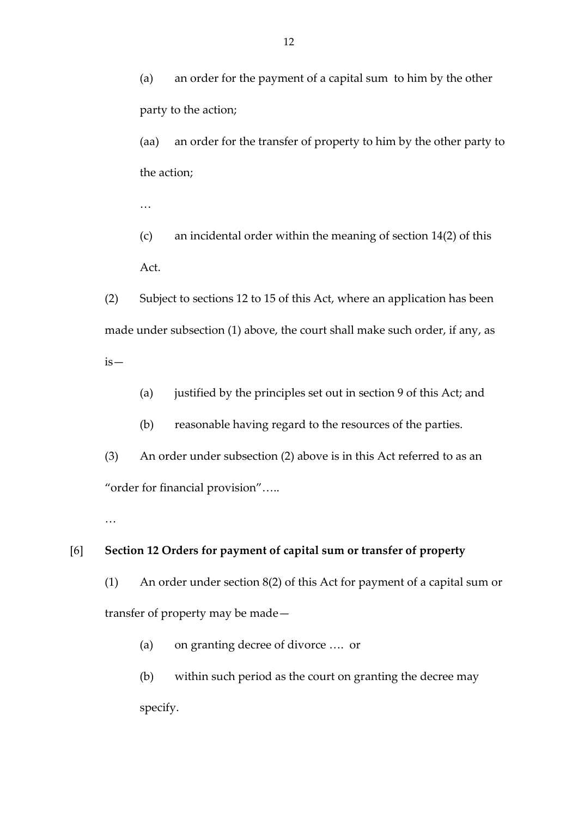(a) an order for the payment of a capital sum to him by the other party to the action;

(aa) an order for the transfer of property to him by the other party to the action;

…

(c) an incidental order within the meaning of section 14(2) of this Act.

(2) Subject to sections 12 to 15 of this Act, where an application has been made under subsection (1) above, the court shall make such order, if any, as is—

(a) justified by the principles set out in section 9 of this Act; and

(b) reasonable having regard to the resources of the parties.

(3) An order under subsection (2) above is in this Act referred to as an "order for financial provision"…..

…

# [6] **Section 12 Orders for payment of capital sum or transfer of property**

(1) An order under section 8(2) of this Act for payment of a capital sum or transfer of property may be made—

(a) on granting decree of divorce …. or

(b) within such period as the court on granting the decree may specify.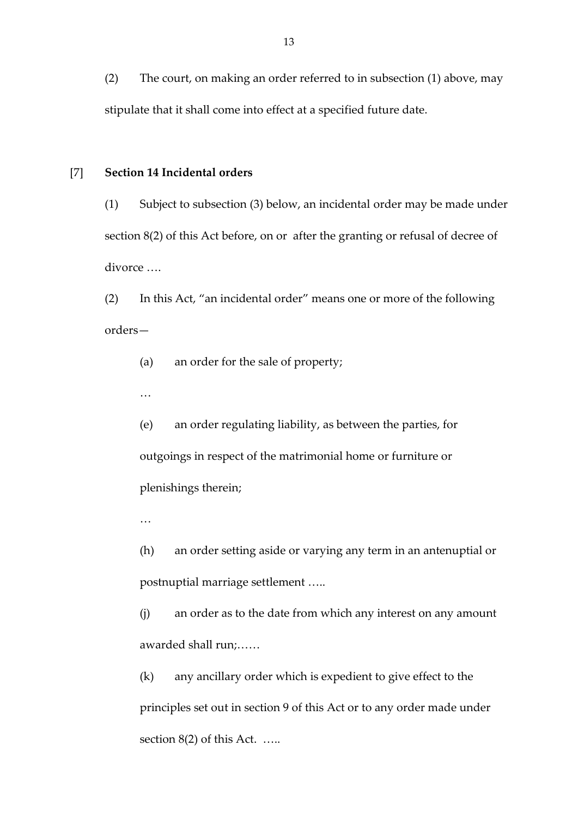(2) The court, on making an order referred to in subsection (1) above, may stipulate that it shall come into effect at a specified future date.

### [7] **Section 14 Incidental orders**

(1) Subject to subsection (3) below, an incidental order may be made under section 8(2) of this Act before, on or after the granting or refusal of decree of divorce ….

(2) In this Act, "an incidental order" means one or more of the following orders—

(a) an order for the sale of property;

…

(e) an order regulating liability, as between the parties, for outgoings in respect of the matrimonial home or furniture or plenishings therein;

…

(h) an order setting aside or varying any term in an antenuptial or postnuptial marriage settlement …..

(j) an order as to the date from which any interest on any amount awarded shall run;……

(k) any ancillary order which is expedient to give effect to the principles set out in section 9 of this Act or to any order made under section 8(2) of this Act. …..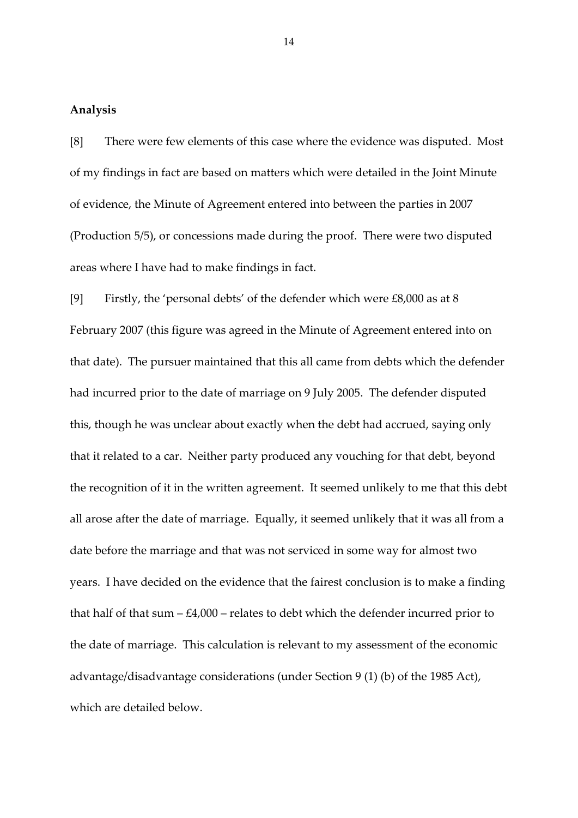# **Analysis**

[8] There were few elements of this case where the evidence was disputed. Most of my findings in fact are based on matters which were detailed in the Joint Minute of evidence, the Minute of Agreement entered into between the parties in 2007 (Production 5/5), or concessions made during the proof. There were two disputed areas where I have had to make findings in fact.

[9] Firstly, the 'personal debts' of the defender which were £8,000 as at 8 February 2007 (this figure was agreed in the Minute of Agreement entered into on that date). The pursuer maintained that this all came from debts which the defender had incurred prior to the date of marriage on 9 July 2005. The defender disputed this, though he was unclear about exactly when the debt had accrued, saying only that it related to a car. Neither party produced any vouching for that debt, beyond the recognition of it in the written agreement. It seemed unlikely to me that this debt all arose after the date of marriage. Equally, it seemed unlikely that it was all from a date before the marriage and that was not serviced in some way for almost two years. I have decided on the evidence that the fairest conclusion is to make a finding that half of that sum  $-$  £4,000 – relates to debt which the defender incurred prior to the date of marriage. This calculation is relevant to my assessment of the economic advantage/disadvantage considerations (under Section 9 (1) (b) of the 1985 Act), which are detailed below.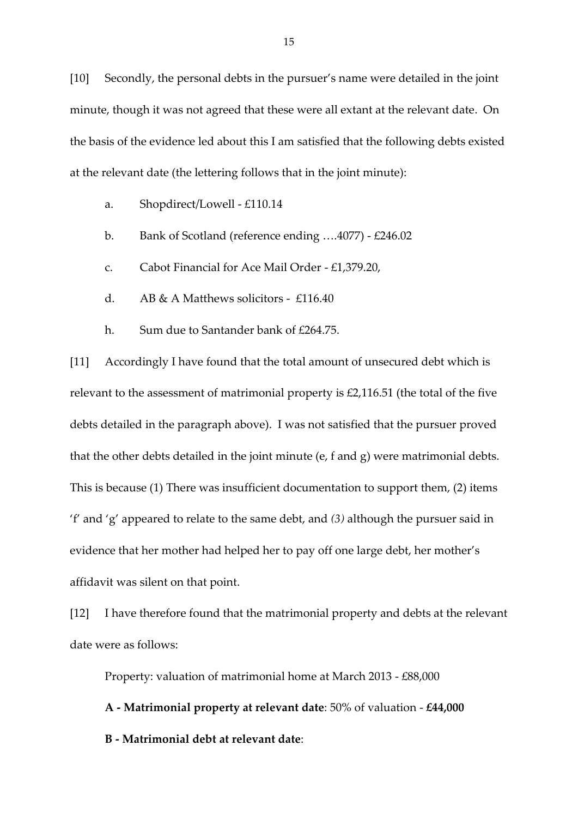[10] Secondly, the personal debts in the pursuer's name were detailed in the joint minute, though it was not agreed that these were all extant at the relevant date. On the basis of the evidence led about this I am satisfied that the following debts existed at the relevant date (the lettering follows that in the joint minute):

- a. Shopdirect/Lowell £110.14
- b. Bank of Scotland (reference ending ….4077) £246.02
- c. Cabot Financial for Ace Mail Order £1,379.20,
- d. AB & A Matthews solicitors £116.40
- h. Sum due to Santander bank of £264.75.

[11] Accordingly I have found that the total amount of unsecured debt which is relevant to the assessment of matrimonial property is £2,116.51 (the total of the five debts detailed in the paragraph above). I was not satisfied that the pursuer proved that the other debts detailed in the joint minute (e, f and g) were matrimonial debts. This is because (1) There was insufficient documentation to support them, (2) items 'f' and 'g' appeared to relate to the same debt, and *(3)* although the pursuer said in evidence that her mother had helped her to pay off one large debt, her mother's affidavit was silent on that point.

[12] I have therefore found that the matrimonial property and debts at the relevant date were as follows:

Property: valuation of matrimonial home at March 2013 - £88,000

**A - Matrimonial property at relevant date**: 50% of valuation - **£44,000 B - Matrimonial debt at relevant date**: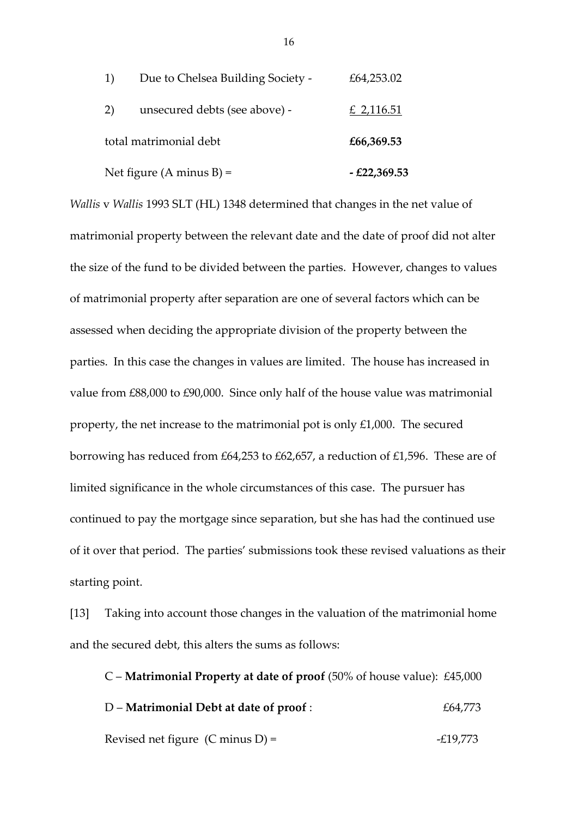| Net figure (A minus B) = |                                   | $-£22,369.53$ |
|--------------------------|-----------------------------------|---------------|
| total matrimonial debt   |                                   | £66,369.53    |
| 2)                       | unsecured debts (see above) -     | £ 2,116.51    |
| 1)                       | Due to Chelsea Building Society - | £64,253.02    |

*Wallis* v *Wallis* 1993 SLT (HL) 1348 determined that changes in the net value of matrimonial property between the relevant date and the date of proof did not alter the size of the fund to be divided between the parties. However, changes to values of matrimonial property after separation are one of several factors which can be assessed when deciding the appropriate division of the property between the parties. In this case the changes in values are limited. The house has increased in value from £88,000 to £90,000. Since only half of the house value was matrimonial property, the net increase to the matrimonial pot is only £1,000. The secured borrowing has reduced from £64,253 to £62,657, a reduction of £1,596. These are of limited significance in the whole circumstances of this case. The pursuer has continued to pay the mortgage since separation, but she has had the continued use of it over that period. The parties' submissions took these revised valuations as their starting point.

[13] Taking into account those changes in the valuation of the matrimonial home and the secured debt, this alters the sums as follows:

C – **Matrimonial Property at date of proof** (50% of house value): £45,000 D – **Matrimonial Debt at date of proof** : £64,773 Revised net figure  $(C \text{ minus } D) =$   $-E19,773$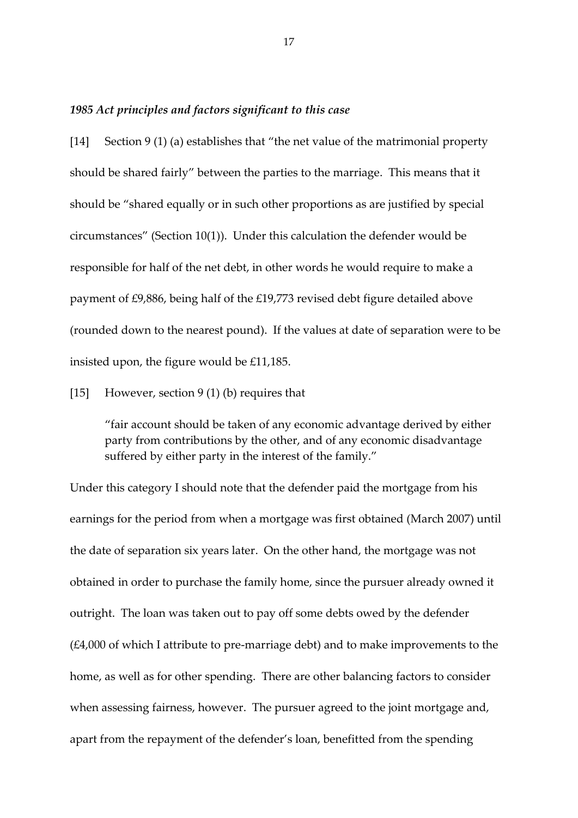### *1985 Act principles and factors significant to this case*

[14] Section 9 (1) (a) establishes that "the net value of the matrimonial property should be shared fairly" between the parties to the marriage. This means that it should be "shared equally or in such other proportions as are justified by special circumstances" (Section 10(1)). Under this calculation the defender would be responsible for half of the net debt, in other words he would require to make a payment of £9,886, being half of the £19,773 revised debt figure detailed above (rounded down to the nearest pound). If the values at date of separation were to be insisted upon, the figure would be £11,185.

[15] However, section 9 (1) (b) requires that

"fair account should be taken of any economic advantage derived by either party from contributions by the other, and of any economic disadvantage suffered by either party in the interest of the family."

Under this category I should note that the defender paid the mortgage from his earnings for the period from when a mortgage was first obtained (March 2007) until the date of separation six years later. On the other hand, the mortgage was not obtained in order to purchase the family home, since the pursuer already owned it outright. The loan was taken out to pay off some debts owed by the defender (£4,000 of which I attribute to pre-marriage debt) and to make improvements to the home, as well as for other spending. There are other balancing factors to consider when assessing fairness, however. The pursuer agreed to the joint mortgage and, apart from the repayment of the defender's loan, benefitted from the spending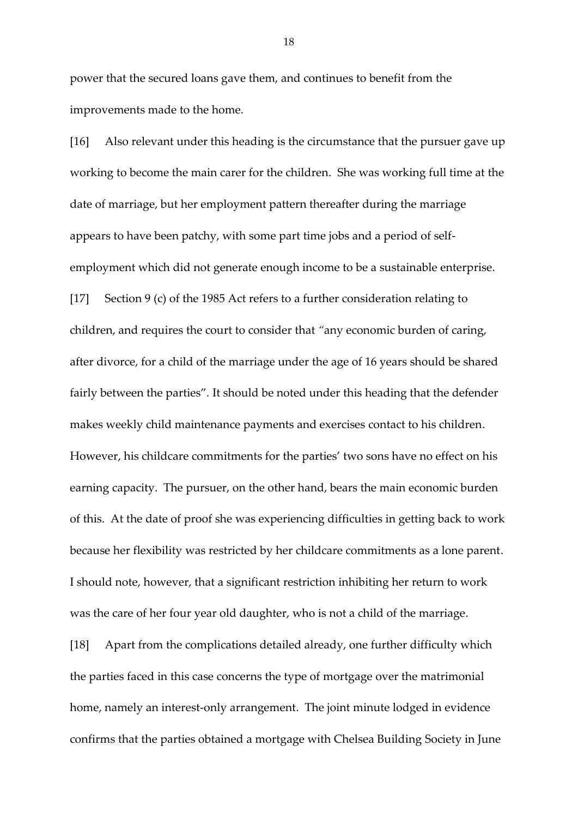power that the secured loans gave them, and continues to benefit from the improvements made to the home.

[16] Also relevant under this heading is the circumstance that the pursuer gave up working to become the main carer for the children. She was working full time at the date of marriage, but her employment pattern thereafter during the marriage appears to have been patchy, with some part time jobs and a period of selfemployment which did not generate enough income to be a sustainable enterprise. [17] Section 9 (c) of the 1985 Act refers to a further consideration relating to children, and requires the court to consider that *"*any economic burden of caring, after divorce, for a child of the marriage under the age of 16 years should be shared fairly between the parties"*.* It should be noted under this heading that the defender makes weekly child maintenance payments and exercises contact to his children. However, his childcare commitments for the parties' two sons have no effect on his earning capacity. The pursuer, on the other hand, bears the main economic burden of this. At the date of proof she was experiencing difficulties in getting back to work because her flexibility was restricted by her childcare commitments as a lone parent. I should note, however, that a significant restriction inhibiting her return to work was the care of her four year old daughter, who is not a child of the marriage.

[18] Apart from the complications detailed already, one further difficulty which the parties faced in this case concerns the type of mortgage over the matrimonial home, namely an interest-only arrangement. The joint minute lodged in evidence confirms that the parties obtained a mortgage with Chelsea Building Society in June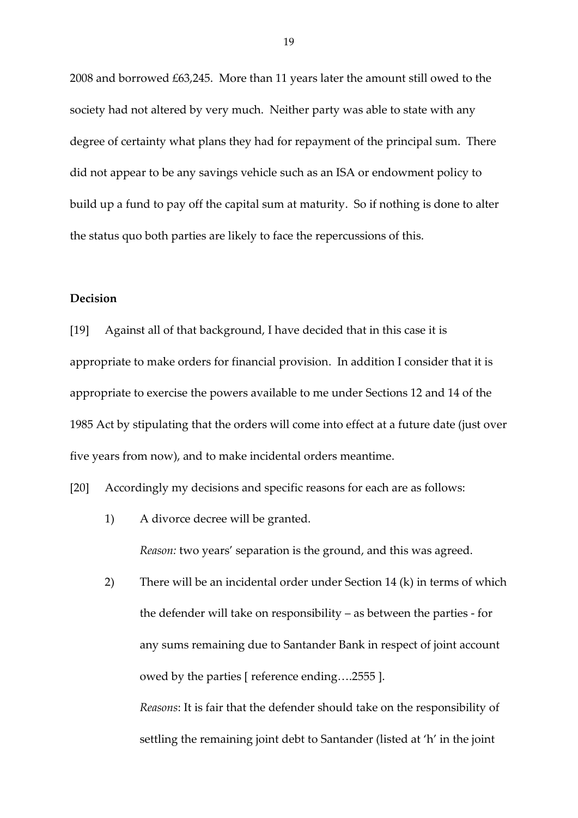2008 and borrowed £63,245. More than 11 years later the amount still owed to the society had not altered by very much. Neither party was able to state with any degree of certainty what plans they had for repayment of the principal sum. There did not appear to be any savings vehicle such as an ISA or endowment policy to build up a fund to pay off the capital sum at maturity. So if nothing is done to alter the status quo both parties are likely to face the repercussions of this.

# **Decision**

[19] Against all of that background, I have decided that in this case it is appropriate to make orders for financial provision. In addition I consider that it is appropriate to exercise the powers available to me under Sections 12 and 14 of the 1985 Act by stipulating that the orders will come into effect at a future date (just over five years from now), and to make incidental orders meantime.

[20] Accordingly my decisions and specific reasons for each are as follows:

- 1) A divorce decree will be granted. *Reason:* two years' separation is the ground, and this was agreed.
- 2) There will be an incidental order under Section 14 (k) in terms of which the defender will take on responsibility – as between the parties - for any sums remaining due to Santander Bank in respect of joint account owed by the parties [ reference ending….2555 ]. *Reasons*: It is fair that the defender should take on the responsibility of settling the remaining joint debt to Santander (listed at 'h' in the joint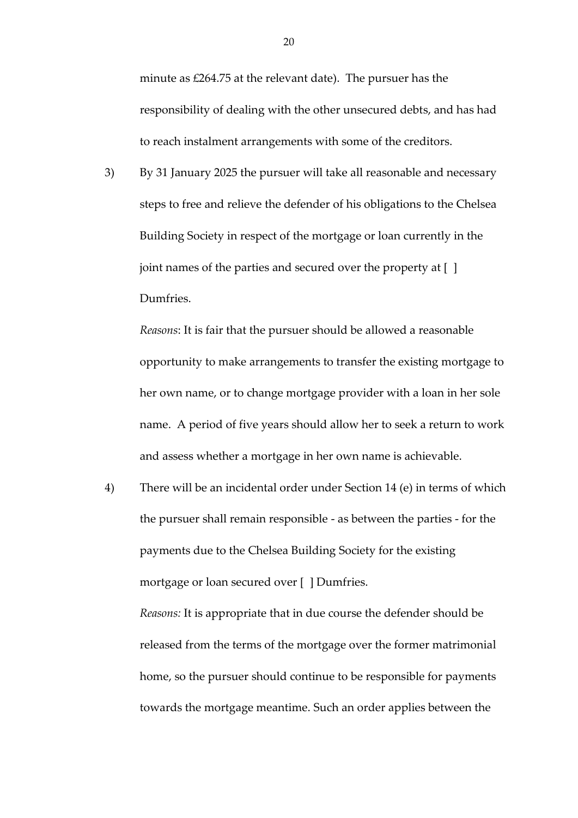minute as £264.75 at the relevant date). The pursuer has the responsibility of dealing with the other unsecured debts, and has had to reach instalment arrangements with some of the creditors.

3) By 31 January 2025 the pursuer will take all reasonable and necessary steps to free and relieve the defender of his obligations to the Chelsea Building Society in respect of the mortgage or loan currently in the joint names of the parties and secured over the property at [ ] Dumfries.

*Reasons*: It is fair that the pursuer should be allowed a reasonable opportunity to make arrangements to transfer the existing mortgage to her own name, or to change mortgage provider with a loan in her sole name. A period of five years should allow her to seek a return to work and assess whether a mortgage in her own name is achievable.

4) There will be an incidental order under Section 14 (e) in terms of which the pursuer shall remain responsible - as between the parties - for the payments due to the Chelsea Building Society for the existing mortgage or loan secured over [ ] Dumfries.

*Reasons:* It is appropriate that in due course the defender should be released from the terms of the mortgage over the former matrimonial home, so the pursuer should continue to be responsible for payments towards the mortgage meantime. Such an order applies between the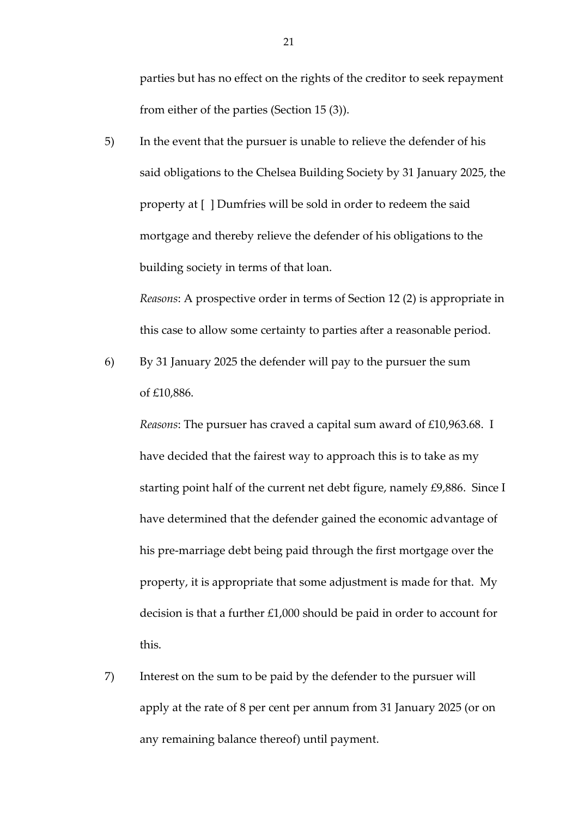parties but has no effect on the rights of the creditor to seek repayment from either of the parties (Section 15 (3)).

5) In the event that the pursuer is unable to relieve the defender of his said obligations to the Chelsea Building Society by 31 January 2025, the property at [ ] Dumfries will be sold in order to redeem the said mortgage and thereby relieve the defender of his obligations to the building society in terms of that loan.

*Reasons*: A prospective order in terms of Section 12 (2) is appropriate in this case to allow some certainty to parties after a reasonable period.

6) By 31 January 2025 the defender will pay to the pursuer the sum of £10,886.

*Reasons*: The pursuer has craved a capital sum award of £10,963.68. I have decided that the fairest way to approach this is to take as my starting point half of the current net debt figure, namely £9,886. Since I have determined that the defender gained the economic advantage of his pre-marriage debt being paid through the first mortgage over the property, it is appropriate that some adjustment is made for that. My decision is that a further £1,000 should be paid in order to account for this.

7) Interest on the sum to be paid by the defender to the pursuer will apply at the rate of 8 per cent per annum from 31 January 2025 (or on any remaining balance thereof) until payment.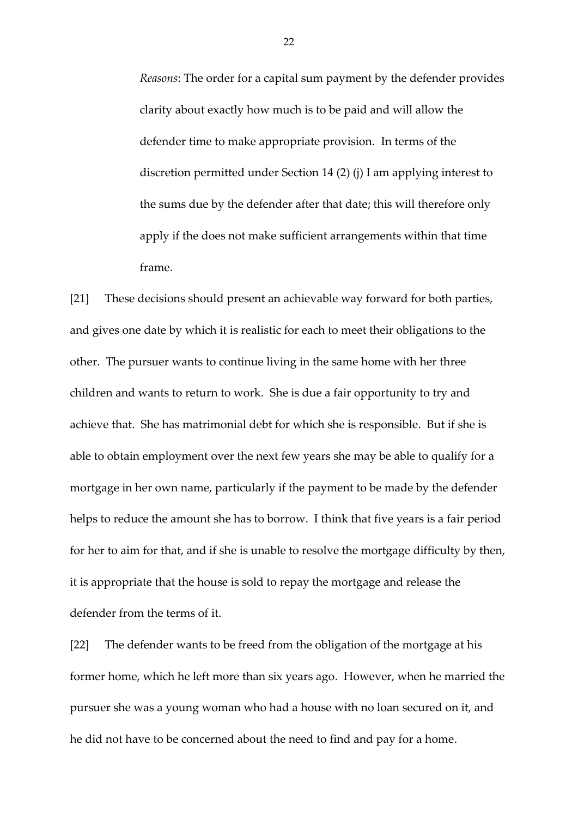*Reasons*: The order for a capital sum payment by the defender provides clarity about exactly how much is to be paid and will allow the defender time to make appropriate provision. In terms of the discretion permitted under Section 14 (2) (j) I am applying interest to the sums due by the defender after that date; this will therefore only apply if the does not make sufficient arrangements within that time frame.

[21] These decisions should present an achievable way forward for both parties, and gives one date by which it is realistic for each to meet their obligations to the other. The pursuer wants to continue living in the same home with her three children and wants to return to work. She is due a fair opportunity to try and achieve that. She has matrimonial debt for which she is responsible. But if she is able to obtain employment over the next few years she may be able to qualify for a mortgage in her own name, particularly if the payment to be made by the defender helps to reduce the amount she has to borrow. I think that five years is a fair period for her to aim for that, and if she is unable to resolve the mortgage difficulty by then, it is appropriate that the house is sold to repay the mortgage and release the defender from the terms of it.

[22] The defender wants to be freed from the obligation of the mortgage at his former home, which he left more than six years ago. However, when he married the pursuer she was a young woman who had a house with no loan secured on it, and he did not have to be concerned about the need to find and pay for a home.